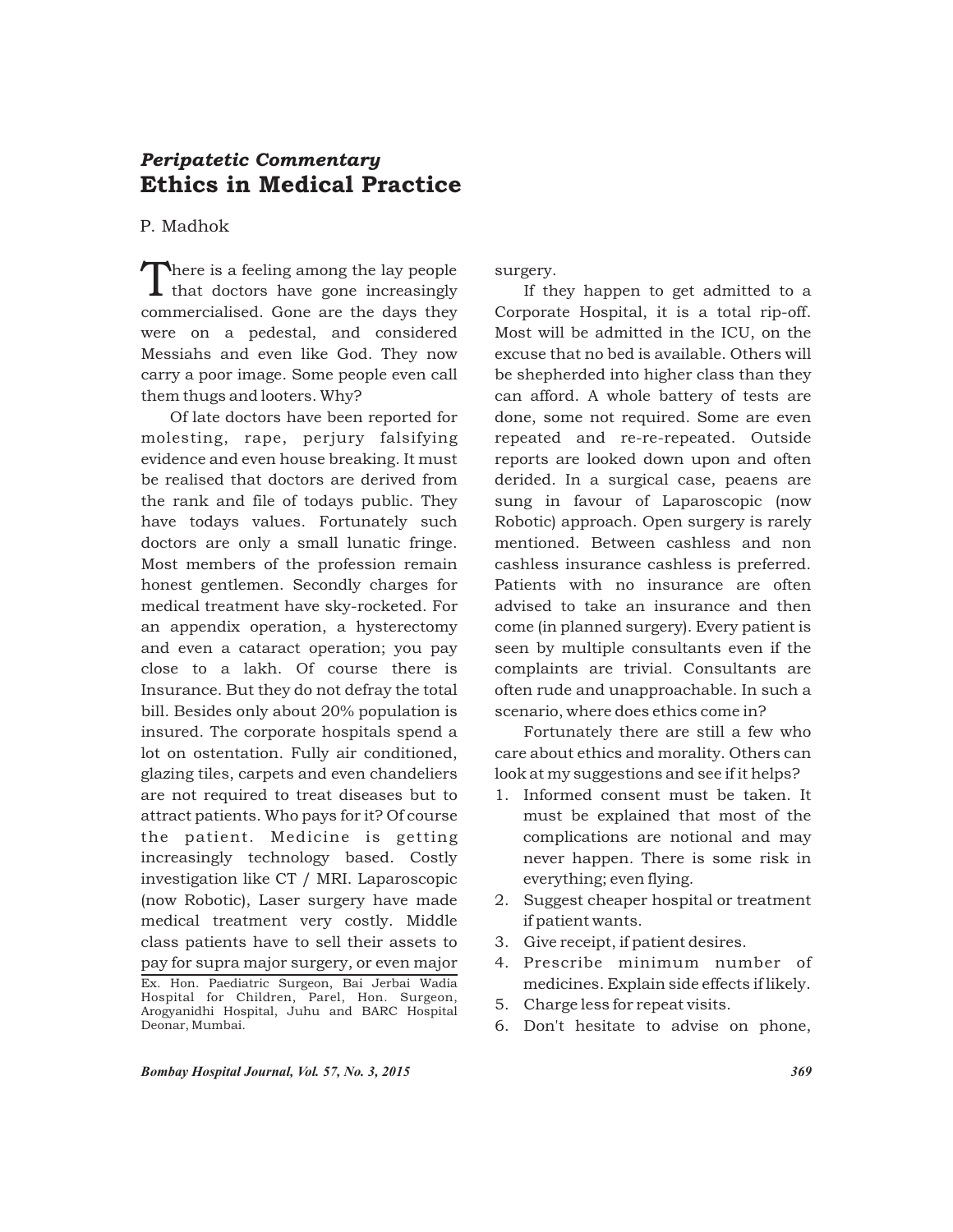## Ethics in Medical Practice *Peripatetic Commentary*

## P. Madhok

There is a feeling among the lay people that doctors have gone increasingly commercialised. Gone are the days they were on a pedestal, and considered Messiahs and even like God. They now carry a poor image. Some people even call them thugs and looters. Why?

Of late doctors have been reported for molesting, rape, perjury falsifying evidence and even house breaking. It must be realised that doctors are derived from the rank and file of todays public. They have todays values. Fortunately such doctors are only a small lunatic fringe. Most members of the profession remain honest gentlemen. Secondly charges for medical treatment have sky-rocketed. For an appendix operation, a hysterectomy and even a cataract operation; you pay close to a lakh. Of course there is Insurance. But they do not defray the total bill. Besides only about 20% population is insured. The corporate hospitals spend a lot on ostentation. Fully air conditioned, glazing tiles, carpets and even chandeliers are not required to treat diseases but to attract patients. Who pays for it? Of course the patient. Medicine is getting increasingly technology based. Costly investigation like CT / MRI. Laparoscopic (now Robotic), Laser surgery have made medical treatment very costly. Middle class patients have to sell their assets to pay for supra major surgery, or even major Ex. Hon. Paediatric Surgeon, Bai Jerbai Wadia Hospital for Children, Parel, Hon. Surgeon, Arogyanidhi Hospital, Juhu and BARC Hospital Deonar, Mumbai.

surgery.

If they happen to get admitted to a Corporate Hospital, it is a total rip-off. Most will be admitted in the ICU, on the excuse that no bed is available. Others will be shepherded into higher class than they can afford. A whole battery of tests are done, some not required. Some are even repeated and re-re-repeated. Outside reports are looked down upon and often derided. In a surgical case, peaens are sung in favour of Laparoscopic (now Robotic) approach. Open surgery is rarely mentioned. Between cashless and non cashless insurance cashless is preferred. Patients with no insurance are often advised to take an insurance and then come (in planned surgery). Every patient is seen by multiple consultants even if the complaints are trivial. Consultants are often rude and unapproachable. In such a scenario, where does ethics come in?

Fortunately there are still a few who care about ethics and morality. Others can look at my suggestions and see if it helps?

- 1. Informed consent must be taken. It must be explained that most of the complications are notional and may never happen. There is some risk in everything; even flying.
- 2. Suggest cheaper hospital or treatment if patient wants.
- 3. Give receipt, if patient desires.
- 4. Prescribe minimum number of medicines. Explain side effects if likely.
- 5. Charge less for repeat visits.
- 6. Don't hesitate to advise on phone,

*Bombay Hospital Journal, Vol. 57, No. 3, 2015 369*